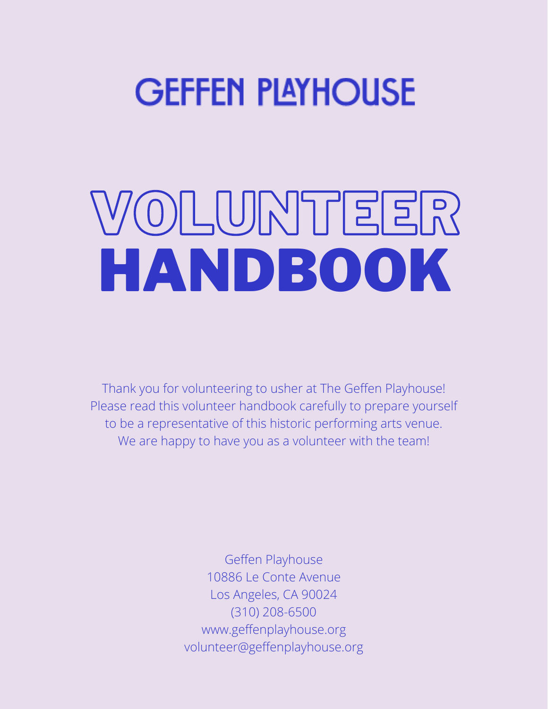## **GEFFEN PLAYHOUSE**

# VOLUNTEER HANDBOOK

Thank you for volunteering to usher at The Geffen Playhouse! Please read this volunteer handbook carefully to prepare yourself to be a representative of this historic performing arts venue. We are happy to have you as a volunteer with the team!

> Geffen Playhouse 10886 Le Conte Avenue Los Angeles, CA 90024 (310) 208-6500 [www.geffenplayhouse.org](http://www.geffenplayhouse.org/) [volunteer@geffenplayhouse.org](mailto:volunteer@geffenplayhouse.org)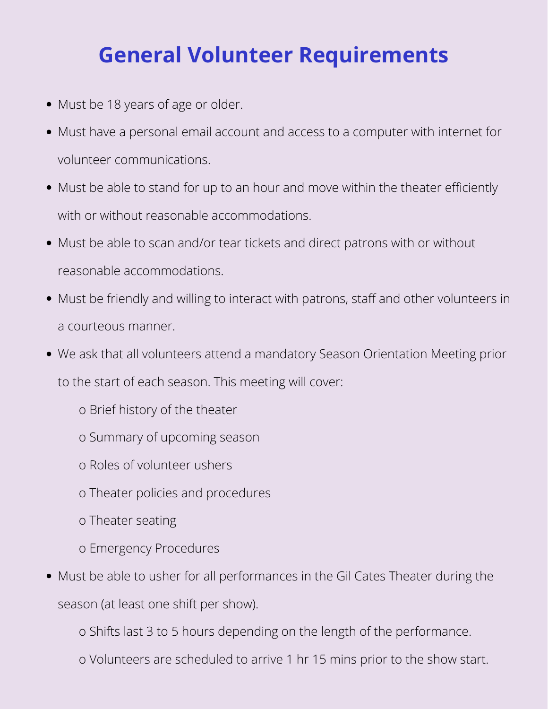### **General Volunteer Requirements**

- Must be 18 years of age or older.
- Must have a personal email account and access to a computer with internet for volunteer communications.
- Must be able to stand for up to an hour and move within the theater efficiently with or without reasonable accommodations.
- Must be able to scan and/or tear tickets and direct patrons with or without reasonable accommodations.
- Must be friendly and willing to interact with patrons, staff and other volunteers in a courteous manner.
- We ask that all volunteers attend a mandatory Season Orientation Meeting prior to the start of each season. This meeting will cover:
	- o Brief history of the theater
	- o Summary of upcoming season
	- o Roles of volunteer ushers
	- o Theater policies and procedures
	- o Theater seating
	- o Emergency Procedures
- Must be able to usher for all performances in the Gil Cates Theater during the season (at least one shift per show).

o Shifts last 3 to 5 hours depending on the length of the performance.

o Volunteers are scheduled to arrive 1 hr 15 mins prior to the show start.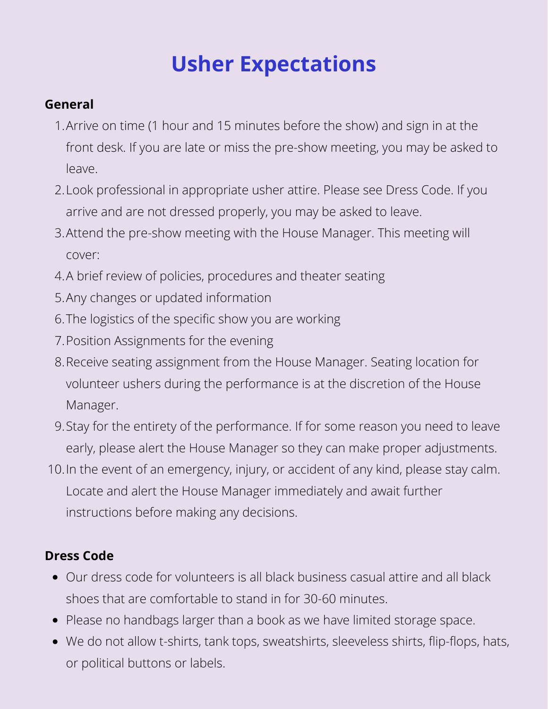## **Usher Expectations**

#### **General**

- Arrive on time (1 hour and 15 minutes before the show) and sign in at the 1. front desk. If you are late or miss the pre-show meeting, you may be asked to leave.
- Look professional in appropriate usher attire. Please see Dress Code. If you 2. arrive and are not dressed properly, you may be asked to leave.
- Attend the pre-show meeting with the House Manager. This meeting will 3. cover:
- A brief review of policies, procedures and theater seating 4.
- 5. Any changes or updated information
- 6. The logistics of the specific show you are working
- Position Assignments for the evening 7.
- Receive seating assignment from the House Manager. Seating location for 8. volunteer ushers during the performance is at the discretion of the House Manager.
- Stay for the entirety of the performance. If for some reason you need to leave 9. early, please alert the House Manager so they can make proper adjustments.
- 10. In the event of an emergency, injury, or accident of any kind, please stay calm. Locate and alert the House Manager immediately and await further instructions before making any decisions.

#### **Dress Code**

- Our dress code for volunteers is all black business casual attire and all black shoes that are comfortable to stand in for 30-60 minutes.
- Please no handbags larger than a book as we have limited storage space.
- We do not allow t-shirts, tank tops, sweatshirts, sleeveless shirts, flip-flops, hats, or political buttons or labels.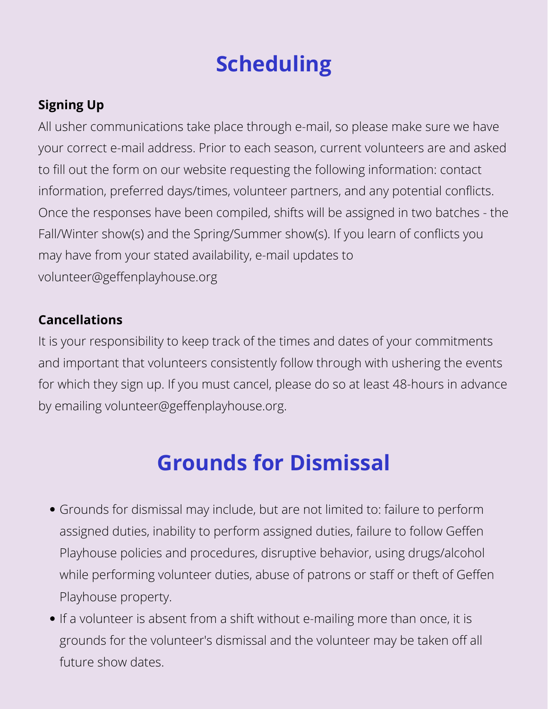## **Scheduling**

#### **Signing Up**

All usher communications take place through e-mail, so please make sure we have your correct e-mail address. Prior to each season, current volunteers are and asked to fill out the form on our website requesting the following information: contact information, preferred days/times, volunteer partners, and any potential conflicts. Once the responses have been compiled, shifts will be assigned in two batches - the Fall/Winter show(s) and the Spring/Summer show(s). If you learn of conflicts you may have from your stated availability, e-mail updates to volunteer@geffenplayhouse.org

#### **Cancellations**

It is your responsibility to keep track of the times and dates of your commitments and important that volunteers consistently follow through with ushering the events for which they sign up. If you must cancel, please do so at least 48-hours in advance by emailing volunteer@geffenplayhouse.org.

### **Grounds for Dismissal**

- Grounds for dismissal may include, but are not limited to: failure to perform assigned duties, inability to perform assigned duties, failure to follow Geffen Playhouse policies and procedures, disruptive behavior, using drugs/alcohol while performing volunteer duties, abuse of patrons or staff or theft of Geffen Playhouse property.
- If a volunteer is absent from a shift without e-mailing more than once, it is grounds for the volunteer's dismissal and the volunteer may be taken off all future show dates.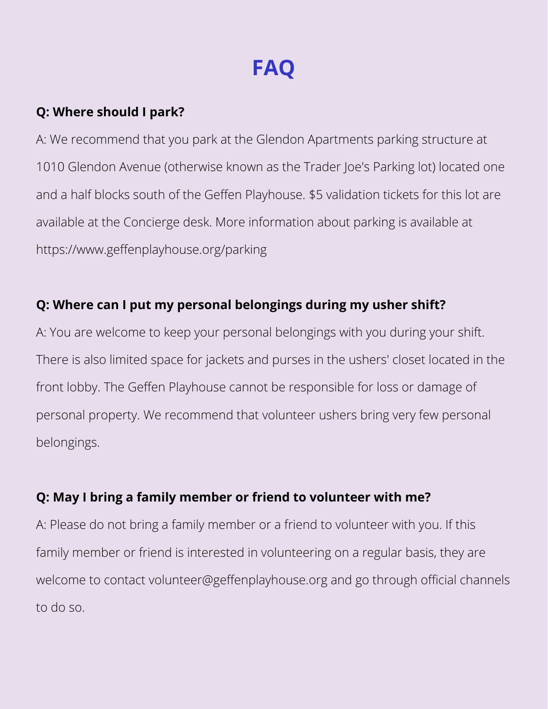## **FAQ**

#### **Q: Where should I park?**

A: We recommend that you park at the Glendon Apartments parking structure at 1010 Glendon Avenue (otherwise known as the Trader Joe's Parking lot) located one and a half blocks south of the Geffen Playhouse. \$5 validation tickets for this lot are available at the Concierge desk. More information about parking is available at <https://www.geffenplayhouse.org/parking>

#### **Q: Where can I put my personal belongings during my usher shift?**

A: You are welcome to keep your personal belongings with you during your shift. There is also limited space for jackets and purses in the ushers' closet located in the front lobby. The Geffen Playhouse cannot be responsible for loss or damage of personal property. We recommend that volunteer ushers bring very few personal belongings.

#### **Q: May I bring a family member or friend to volunteer with me?**

A: Please do not bring a family member or a friend to volunteer with you. If this family member or friend is interested in volunteering on a regular basis, they are welcome to contact volunteer@geffenplayhouse.org and go through official channels to do so.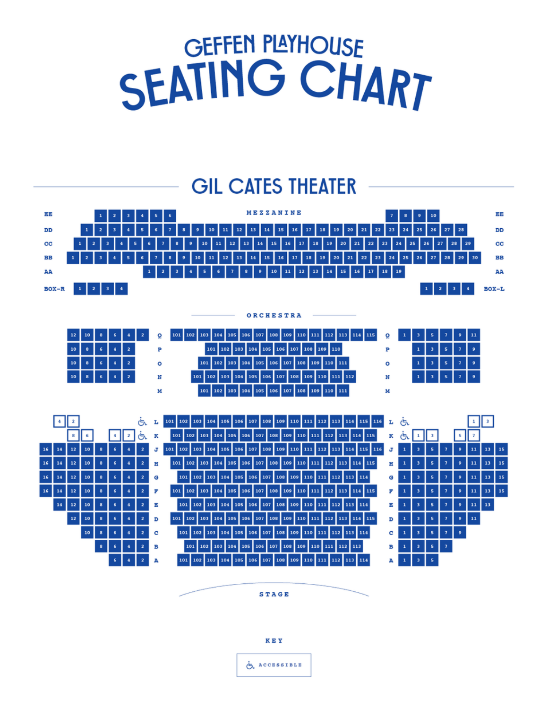## **GEFFEN PLAYHOUSE** SEATING CHART

### **GIL CATES THEATER**



**STAGE** 



**ACCESSIBLE**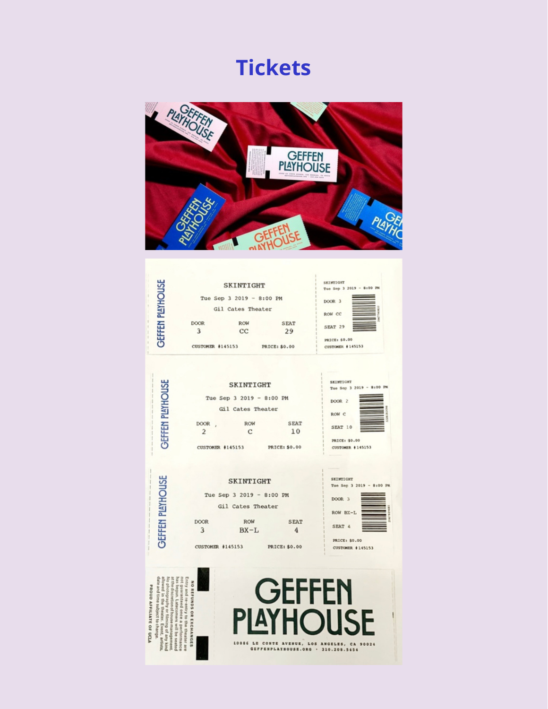### **Tickets**



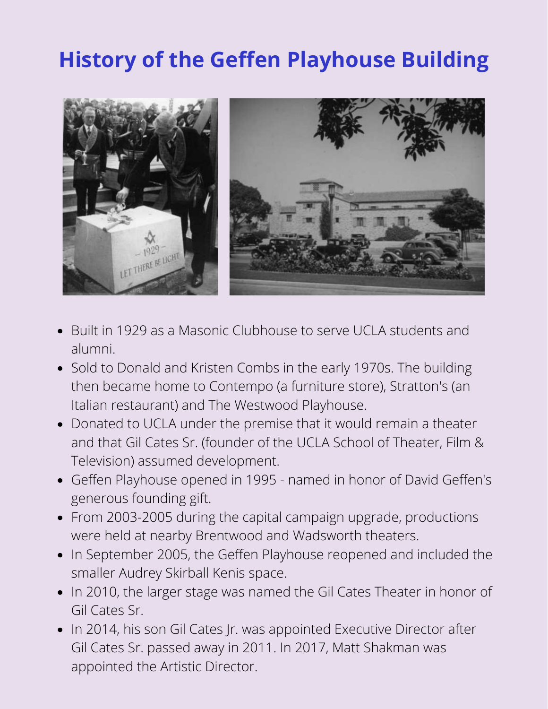## **History of the Geffen Playhouse Building**



- Built in 1929 as a Masonic Clubhouse to serve UCLA students and alumni.
- Sold to Donald and Kristen Combs in the early 1970s. The building then became home to Contempo (a furniture store), Stratton's (an Italian restaurant) and The Westwood Playhouse.
- Donated to UCLA under the premise that it would remain a theater and that Gil Cates Sr. (founder of the UCLA School of Theater, Film & Television) assumed development.
- Geffen Playhouse opened in 1995 named in honor of David Geffen's generous founding gift.
- From 2003-2005 during the capital campaign upgrade, productions were held at nearby Brentwood and Wadsworth theaters.
- In September 2005, the Geffen Playhouse reopened and included the smaller Audrey Skirball Kenis space.
- In 2010, the larger stage was named the Gil Cates Theater in honor of Gil Cates Sr.
- In 2014, his son Gil Cates Jr. was appointed Executive Director after Gil Cates Sr. passed away in 2011. In 2017, Matt Shakman was appointed the Artistic Director.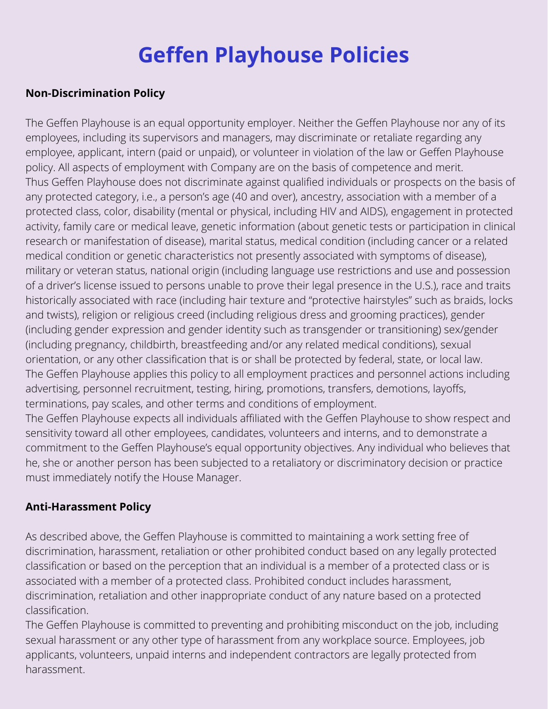## **Geffen Playhouse Policies**

#### **Non-Discrimination Policy**

The Geffen Playhouse is an equal opportunity employer. Neither the Geffen Playhouse nor any of its employees, including its supervisors and managers, may discriminate or retaliate regarding any employee, applicant, intern (paid or unpaid), or volunteer in violation of the law or Geffen Playhouse policy. All aspects of employment with Company are on the basis of competence and merit. Thus Geffen Playhouse does not discriminate against qualified individuals or prospects on the basis of any protected category, i.e., a person's age (40 and over), ancestry, association with a member of a protected class, color, disability (mental or physical, including HIV and AIDS), engagement in protected activity, family care or medical leave, genetic information (about genetic tests or participation in clinical research or manifestation of disease), marital status, medical condition (including cancer or a related medical condition or genetic characteristics not presently associated with symptoms of disease), military or veteran status, national origin (including language use restrictions and use and possession of a driver's license issued to persons unable to prove their legal presence in the U.S.), race and traits historically associated with race (including hair texture and "protective hairstyles" such as braids, locks and twists), religion or religious creed (including religious dress and grooming practices), gender (including gender expression and gender identity such as transgender or transitioning) sex/gender (including pregnancy, childbirth, breastfeeding and/or any related medical conditions), sexual orientation, or any other classification that is or shall be protected by federal, state, or local law. The Geffen Playhouse applies this policy to all employment practices and personnel actions including advertising, personnel recruitment, testing, hiring, promotions, transfers, demotions, layoffs, terminations, pay scales, and other terms and conditions of employment. The Geffen Playhouse expects all individuals affiliated with the Geffen Playhouse to show respect and sensitivity toward all other employees, candidates, volunteers and interns, and to demonstrate a

commitment to the Geffen Playhouse's equal opportunity objectives. Any individual who believes that he, she or another person has been subjected to a retaliatory or discriminatory decision or practice must immediately notify the House Manager.

#### **Anti-Harassment Policy**

As described above, the Geffen Playhouse is committed to maintaining a work setting free of discrimination, harassment, retaliation or other prohibited conduct based on any legally protected classification or based on the perception that an individual is a member of a protected class or is associated with a member of a protected class. Prohibited conduct includes harassment, discrimination, retaliation and other inappropriate conduct of any nature based on a protected classification.

The Geffen Playhouse is committed to preventing and prohibiting misconduct on the job, including sexual harassment or any other type of harassment from any workplace source. Employees, job applicants, volunteers, unpaid interns and independent contractors are legally protected from harassment.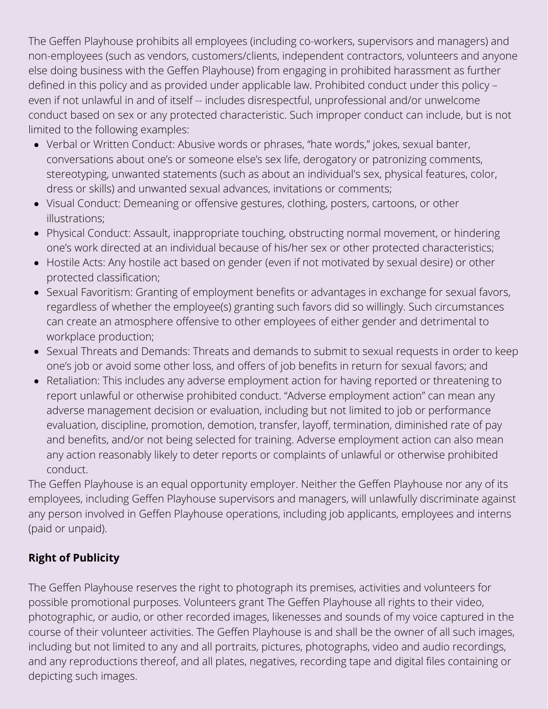The Geffen Playhouse prohibits all employees (including co-workers, supervisors and managers) and non-employees (such as vendors, customers/clients, independent contractors, volunteers and anyone else doing business with the Geffen Playhouse) from engaging in prohibited harassment as further defined in this policy and as provided under applicable law. Prohibited conduct under this policy – even if not unlawful in and of itself -- includes disrespectful, unprofessional and/or unwelcome conduct based on sex or any protected characteristic. Such improper conduct can include, but is not limited to the following examples:

- Verbal or Written Conduct: Abusive words or phrases, "hate words," jokes, sexual banter, conversations about one's or someone else's sex life, derogatory or patronizing comments, stereotyping, unwanted statements (such as about an individual's sex, physical features, color, dress or skills) and unwanted sexual advances, invitations or comments;
- Visual Conduct: Demeaning or offensive gestures, clothing, posters, cartoons, or other illustrations;
- Physical Conduct: Assault, inappropriate touching, obstructing normal movement, or hindering one's work directed at an individual because of his/her sex or other protected characteristics;
- Hostile Acts: Any hostile act based on gender (even if not motivated by sexual desire) or other protected classification;
- Sexual Favoritism: Granting of employment benefits or advantages in exchange for sexual favors, regardless of whether the employee(s) granting such favors did so willingly. Such circumstances can create an atmosphere offensive to other employees of either gender and detrimental to workplace production;
- Sexual Threats and Demands: Threats and demands to submit to sexual requests in order to keep one's job or avoid some other loss, and offers of job benefits in return for sexual favors; and
- Retaliation: This includes any adverse employment action for having reported or threatening to report unlawful or otherwise prohibited conduct. "Adverse employment action" can mean any adverse management decision or evaluation, including but not limited to job or performance evaluation, discipline, promotion, demotion, transfer, layoff, termination, diminished rate of pay and benefits, and/or not being selected for training. Adverse employment action can also mean any action reasonably likely to deter reports or complaints of unlawful or otherwise prohibited conduct.

The Geffen Playhouse is an equal opportunity employer. Neither the Geffen Playhouse nor any of its employees, including Geffen Playhouse supervisors and managers, will unlawfully discriminate against any person involved in Geffen Playhouse operations, including job applicants, employees and interns (paid or unpaid).

#### **Right of Publicity**

The Geffen Playhouse reserves the right to photograph its premises, activities and volunteers for possible promotional purposes. Volunteers grant The Geffen Playhouse all rights to their video, photographic, or audio, or other recorded images, likenesses and sounds of my voice captured in the course of their volunteer activities. The Geffen Playhouse is and shall be the owner of all such images, including but not limited to any and all portraits, pictures, photographs, video and audio recordings, and any reproductions thereof, and all plates, negatives, recording tape and digital files containing or depicting such images.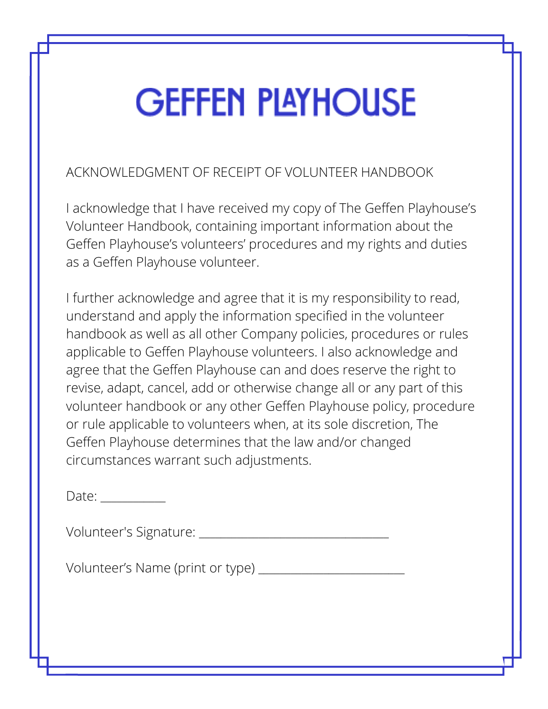## **GEFFEN PLAYHOUSE**

ACKNOWLEDGMENT OF RECEIPT OF VOLUNTEER HANDBOOK

I acknowledge that I have received my copy of The Geffen Playhouse's Volunteer Handbook, containing important information about the Geffen Playhouse's volunteers' procedures and my rights and duties as a Geffen Playhouse volunteer.

I further acknowledge and agree that it is my responsibility to read, understand and apply the information specified in the volunteer handbook as well as all other Company policies, procedures or rules applicable to Geffen Playhouse volunteers. I also acknowledge and agree that the Geffen Playhouse can and does reserve the right to revise, adapt, cancel, add or otherwise change all or any part of this volunteer handbook or any other Geffen Playhouse policy, procedure or rule applicable to volunteers when, at its sole discretion, The Geffen Playhouse determines that the law and/or changed circumstances warrant such adjustments.

Date:

Volunteer's Signature: \_\_\_\_\_\_\_\_\_\_\_\_\_\_\_\_\_\_\_\_\_\_\_\_\_\_\_\_\_\_\_\_\_\_\_

Volunteer's Name (print or type) \_\_\_\_\_\_\_\_\_\_\_\_\_\_\_\_\_\_\_\_\_\_\_\_\_\_\_